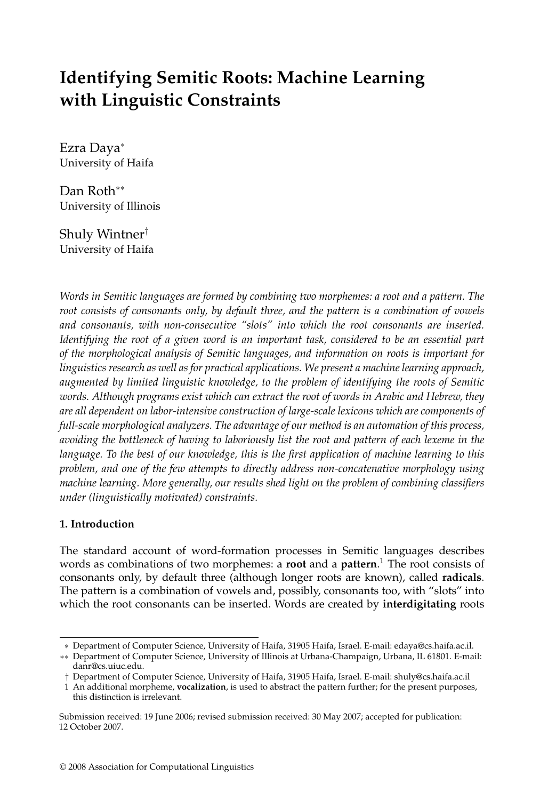# **Identifying Semitic Roots: Machine Learning with Linguistic Constraints**

Ezra Daya<sup>∗</sup> University of Haifa

Dan Roth∗∗ University of Illinois

Shuly Wintner† University of Haifa

*Words in Semitic languages are formed by combining two morphemes: a root and a pattern. The root consists of consonants only, by default three, and the pattern is a combination of vowels and consonants, with non-consecutive "slots" into which the root consonants are inserted. Identifying the root of a given word is an important task, considered to be an essential part of the morphological analysis of Semitic languages, and information on roots is important for linguistics research as well as for practical applications. We present a machine learning approach, augmented by limited linguistic knowledge, to the problem of identifying the roots of Semitic words. Although programs exist which can extract the root of words in Arabic and Hebrew, they are all dependent on labor-intensive construction of large-scale lexicons which are components of full-scale morphological analyzers. The advantage of our method is an automation of this process, avoiding the bottleneckof having to laboriously list the root and pattern of each lexeme in the language. To the best of our knowledge, this is the first application of machine learning to this problem, and one of the few attempts to directly address non-concatenative morphology using machine learning. More generally, our results shed light on the problem of combining classifiers under (linguistically motivated) constraints.*

## **1. Introduction**

The standard account of word-formation processes in Semitic languages describes words as combinations of two morphemes: a **root** and a **pattern**. <sup>1</sup> The root consists of consonants only, by default three (although longer roots are known), called **radicals**. The pattern is a combination of vowels and, possibly, consonants too, with "slots" into which the root consonants can be inserted. Words are created by **interdigitating** roots

<sup>∗</sup> Department of Computer Science, University of Haifa, 31905 Haifa, Israel. E-mail: edaya@cs.haifa.ac.il.

<sup>∗∗</sup> Department of Computer Science, University of Illinois at Urbana-Champaign, Urbana, IL 61801. E-mail: danr@cs.uiuc.edu.

<sup>†</sup> Department of Computer Science, University of Haifa, 31905 Haifa, Israel. E-mail: shuly@cs.haifa.ac.il

<sup>1</sup> An additional morpheme, **vocalization**, is used to abstract the pattern further; for the present purposes, this distinction is irrelevant.

Submission received: 19 June 2006; revised submission received: 30 May 2007; accepted for publication: 12 October 2007.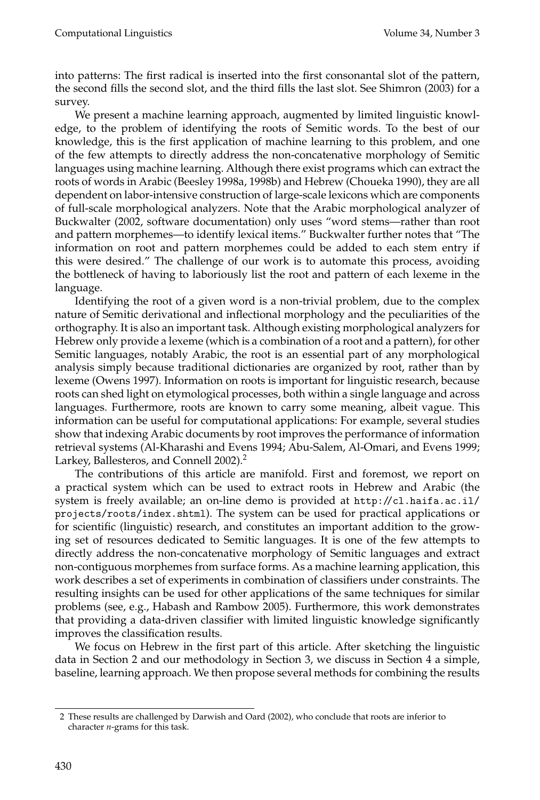into patterns: The first radical is inserted into the first consonantal slot of the pattern, the second fills the second slot, and the third fills the last slot. See Shimron (2003) for a survey.

We present a machine learning approach, augmented by limited linguistic knowledge, to the problem of identifying the roots of Semitic words. To the best of our knowledge, this is the first application of machine learning to this problem, and one of the few attempts to directly address the non-concatenative morphology of Semitic languages using machine learning. Although there exist programs which can extract the roots of words in Arabic (Beesley 1998a, 1998b) and Hebrew (Choueka 1990), they are all dependent on labor-intensive construction of large-scale lexicons which are components of full-scale morphological analyzers. Note that the Arabic morphological analyzer of Buckwalter (2002, software documentation) only uses "word stems—rather than root and pattern morphemes—to identify lexical items." Buckwalter further notes that "The information on root and pattern morphemes could be added to each stem entry if this were desired." The challenge of our work is to automate this process, avoiding the bottleneck of having to laboriously list the root and pattern of each lexeme in the language.

Identifying the root of a given word is a non-trivial problem, due to the complex nature of Semitic derivational and inflectional morphology and the peculiarities of the orthography. It is also an important task. Although existing morphological analyzers for Hebrew only provide a lexeme (which is a combination of a root and a pattern), for other Semitic languages, notably Arabic, the root is an essential part of any morphological analysis simply because traditional dictionaries are organized by root, rather than by lexeme (Owens 1997). Information on roots is important for linguistic research, because roots can shed light on etymological processes, both within a single language and across languages. Furthermore, roots are known to carry some meaning, albeit vague. This information can be useful for computational applications: For example, several studies show that indexing Arabic documents by root improves the performance of information retrieval systems (Al-Kharashi and Evens 1994; Abu-Salem, Al-Omari, and Evens 1999; Larkey, Ballesteros, and Connell 2002).<sup>2</sup>

The contributions of this article are manifold. First and foremost, we report on a practical system which can be used to extract roots in Hebrew and Arabic (the system is freely available; an on-line demo is provided at http://cl.haifa.ac.il/ projects/roots/index.shtml). The system can be used for practical applications or for scientific (linguistic) research, and constitutes an important addition to the growing set of resources dedicated to Semitic languages. It is one of the few attempts to directly address the non-concatenative morphology of Semitic languages and extract non-contiguous morphemes from surface forms. As a machine learning application, this work describes a set of experiments in combination of classifiers under constraints. The resulting insights can be used for other applications of the same techniques for similar problems (see, e.g., Habash and Rambow 2005). Furthermore, this work demonstrates that providing a data-driven classifier with limited linguistic knowledge significantly improves the classification results.

We focus on Hebrew in the first part of this article. After sketching the linguistic data in Section 2 and our methodology in Section 3, we discuss in Section 4 a simple, baseline, learning approach. We then propose several methods for combining the results

<sup>2</sup> These results are challenged by Darwish and Oard (2002), who conclude that roots are inferior to character *n*-grams for this task.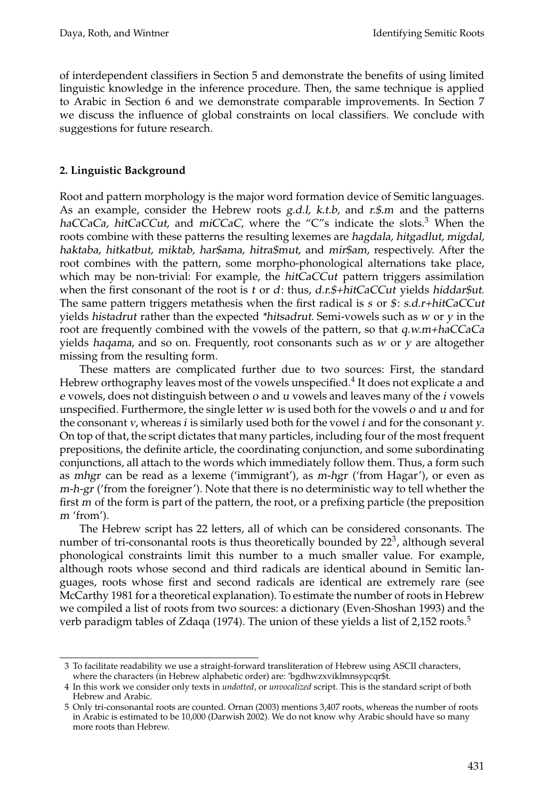of interdependent classifiers in Section 5 and demonstrate the benefits of using limited linguistic knowledge in the inference procedure. Then, the same technique is applied to Arabic in Section 6 and we demonstrate comparable improvements. In Section 7 we discuss the influence of global constraints on local classifiers. We conclude with suggestions for future research.

### **2. Linguistic Background**

Root and pattern morphology is the major word formation device of Semitic languages. As an example, consider the Hebrew roots  $g.d.l.$ , k.t.b, and r.\$.m and the patterns haCCaCa, hitCaCCut, and miCCaC, where the "C"s indicate the slots.<sup>3</sup> When the roots combine with these patterns the resulting lexemes are hagdala, hitgadlut, migdal, haktaba, hitkatbut, miktab, har\$ama, hitra\$mut, and mir\$am, respectively. After the root combines with the pattern, some morpho-phonological alternations take place, which may be non-trivial: For example, the  $hitCaCCut$  pattern triggers assimilation when the first consonant of the root is t or d: thus,  $d.r.\$+hitCaCCut$  yields hiddar\$ut. The same pattern triggers metathesis when the first radical is s or  $\frac{6}{5}$ : s.d.r+hitCaCCut yields histadrut rather than the expected \*hitsadrut. Semi-vowels such as w or y in the root are frequently combined with the vowels of the pattern, so that q.w.m+haCCaCa yields haqama, and so on. Frequently, root consonants such as  $w$  or  $y$  are altogether missing from the resulting form.

These matters are complicated further due to two sources: First, the standard Hebrew orthography leaves most of the vowels unspecified.<sup>4</sup> It does not explicate a and <sup>e</sup> vowels, does not distinguish between <sup>o</sup> and <sup>u</sup> vowels and leaves many of the <sup>i</sup> vowels unspecified. Furthermore, the single letter  $w$  is used both for the vowels  $o$  and  $u$  and for the consonant  $v$ , whereas  $i$  is similarly used both for the vowel  $i$  and for the consonant  $v$ . On top of that, the script dictates that many particles, including four of the most frequent prepositions, the definite article, the coordinating conjunction, and some subordinating conjunctions, all attach to the words which immediately follow them. Thus, a form such as mhgr can be read as a lexeme ('immigrant'), as m-hgr ('from Hagar'), or even as m-h-gr ('from the foreigner'). Note that there is no deterministic way to tell whether the first <sup>m</sup> of the form is part of the pattern, the root, or a prefixing particle (the preposition <sup>m</sup> 'from').

The Hebrew script has 22 letters, all of which can be considered consonants. The number of tri-consonantal roots is thus theoretically bounded by  $22<sup>3</sup>$ , although several phonological constraints limit this number to a much smaller value. For example, although roots whose second and third radicals are identical abound in Semitic languages, roots whose first and second radicals are identical are extremely rare (see McCarthy 1981 for a theoretical explanation). To estimate the number of roots in Hebrew we compiled a list of roots from two sources: a dictionary (Even-Shoshan 1993) and the verb paradigm tables of Zdaqa (1974). The union of these yields a list of 2,152 roots.<sup>5</sup>

<sup>3</sup> To facilitate readability we use a straight-forward transliteration of Hebrew using ASCII characters, where the characters (in Hebrew alphabetic order) are: 'bgdhwzxviklmnsypcqr\$t.

<sup>4</sup> In this work we consider only texts in *undotted*, or *unvocalized* script. This is the standard script of both Hebrew and Arabic.

<sup>5</sup> Only tri-consonantal roots are counted. Ornan (2003) mentions 3,407 roots, whereas the number of roots in Arabic is estimated to be 10,000 (Darwish 2002). We do not know why Arabic should have so many more roots than Hebrew.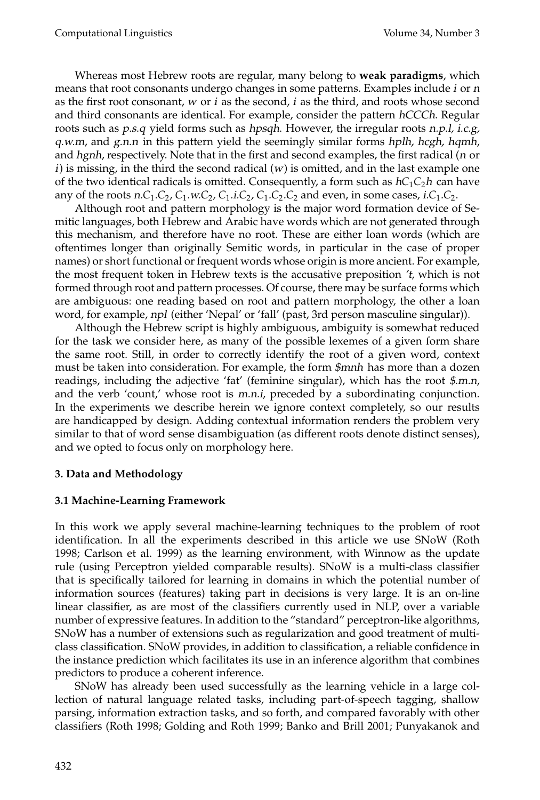Whereas most Hebrew roots are regular, many belong to **weak paradigms**, which means that root consonants undergo changes in some patterns. Examples include <sup>i</sup> or <sup>n</sup> as the first root consonant,  $w$  or  $i$  as the second,  $i$  as the third, and roots whose second and third consonants are identical. For example, consider the pattern hCCCh. Regular roots such as *p.s.q* yield forms such as *hpsqh*. However, the irregular roots *n.p.l, i.c.g,* q.w.m, and g.n.n in this pattern yield the seemingly similar forms hplh, hcgh, hqmh, and hgnh, respectively. Note that in the first and second examples, the first radical (<sup>n</sup> or  $i)$  is missing, in the third the second radical  $(w)$  is omitted, and in the last example one of the two identical radicals is omitted. Consequently, a form such as  $hC_1C_2h$  can have any of the roots  $n.C_1.C_2, C_1.w.C_2, C_1.i.C_2, C_1.C_2.C_2$  and even, in some cases,  $i.C_1.C_2$ .

Although root and pattern morphology is the major word formation device of Semitic languages, both Hebrew and Arabic have words which are not generated through this mechanism, and therefore have no root. These are either loan words (which are oftentimes longer than originally Semitic words, in particular in the case of proper names) or short functional or frequent words whose origin is more ancient. For example, the most frequent token in Hebrew texts is the accusative preposition 't, which is not formed through root and pattern processes. Of course, there may be surface forms which are ambiguous: one reading based on root and pattern morphology, the other a loan word, for example, npl (either 'Nepal' or 'fall' (past, 3rd person masculine singular)).

Although the Hebrew script is highly ambiguous, ambiguity is somewhat reduced for the task we consider here, as many of the possible lexemes of a given form share the same root. Still, in order to correctly identify the root of a given word, context must be taken into consideration. For example, the form \$mnh has more than a dozen readings, including the adjective 'fat' (feminine singular), which has the root  $\mathcal{L}_{m,n}$ , and the verb 'count,' whose root is m.n.i, preceded by a subordinating conjunction. In the experiments we describe herein we ignore context completely, so our results are handicapped by design. Adding contextual information renders the problem very similar to that of word sense disambiguation (as different roots denote distinct senses), and we opted to focus only on morphology here.

## **3. Data and Methodology**

## **3.1 Machine-Learning Framework**

In this work we apply several machine-learning techniques to the problem of root identification. In all the experiments described in this article we use SNoW (Roth 1998; Carlson et al. 1999) as the learning environment, with Winnow as the update rule (using Perceptron yielded comparable results). SNoW is a multi-class classifier that is specifically tailored for learning in domains in which the potential number of information sources (features) taking part in decisions is very large. It is an on-line linear classifier, as are most of the classifiers currently used in NLP, over a variable number of expressive features. In addition to the "standard" perceptron-like algorithms, SNoW has a number of extensions such as regularization and good treatment of multiclass classification. SNoW provides, in addition to classification, a reliable confidence in the instance prediction which facilitates its use in an inference algorithm that combines predictors to produce a coherent inference.

SNoW has already been used successfully as the learning vehicle in a large collection of natural language related tasks, including part-of-speech tagging, shallow parsing, information extraction tasks, and so forth, and compared favorably with other classifiers (Roth 1998; Golding and Roth 1999; Banko and Brill 2001; Punyakanok and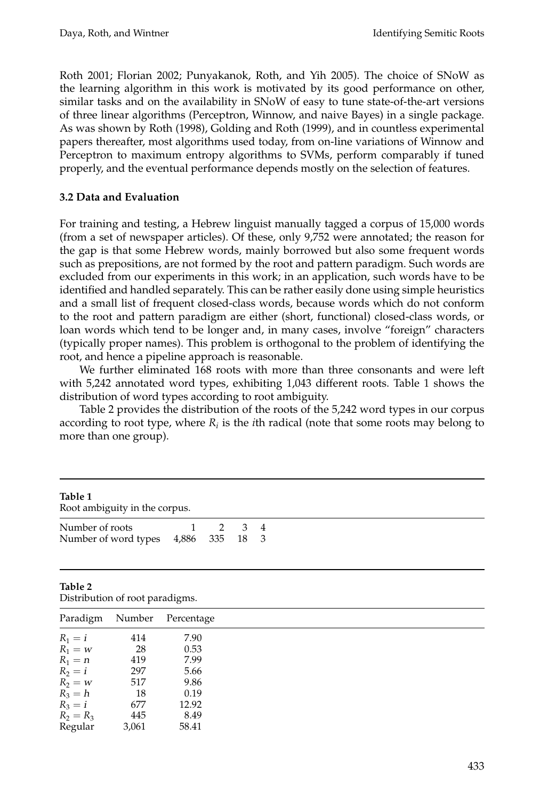Roth 2001; Florian 2002; Punyakanok, Roth, and Yih 2005). The choice of SNoW as the learning algorithm in this work is motivated by its good performance on other, similar tasks and on the availability in SNoW of easy to tune state-of-the-art versions of three linear algorithms (Perceptron, Winnow, and naive Bayes) in a single package. As was shown by Roth (1998), Golding and Roth (1999), and in countless experimental papers thereafter, most algorithms used today, from on-line variations of Winnow and Perceptron to maximum entropy algorithms to SVMs, perform comparably if tuned properly, and the eventual performance depends mostly on the selection of features.

## **3.2 Data and Evaluation**

For training and testing, a Hebrew linguist manually tagged a corpus of 15,000 words (from a set of newspaper articles). Of these, only 9,752 were annotated; the reason for the gap is that some Hebrew words, mainly borrowed but also some frequent words such as prepositions, are not formed by the root and pattern paradigm. Such words are excluded from our experiments in this work; in an application, such words have to be identified and handled separately. This can be rather easily done using simple heuristics and a small list of frequent closed-class words, because words which do not conform to the root and pattern paradigm are either (short, functional) closed-class words, or loan words which tend to be longer and, in many cases, involve "foreign" characters (typically proper names). This problem is orthogonal to the problem of identifying the root, and hence a pipeline approach is reasonable.

We further eliminated 168 roots with more than three consonants and were left with 5,242 annotated word types, exhibiting 1,043 different roots. Table 1 shows the distribution of word types according to root ambiguity.

Table 2 provides the distribution of the roots of the 5,242 word types in our corpus according to root type, where *Ri* is the *i*th radical (note that some roots may belong to more than one group).

| Table 1<br>Root ambiguity in the corpus.               |             |     |  |
|--------------------------------------------------------|-------------|-----|--|
| Number of roots<br>Number of word types 4,886 335 18 3 | $1 \quad 2$ | 3 4 |  |

**Table 2**

| Distribution of root paradigms. |  |  |
|---------------------------------|--|--|
|---------------------------------|--|--|

|             |       | Paradigm Number Percentage |
|-------------|-------|----------------------------|
| $R_1 = i$   | 414   | 7.90                       |
| $R_1 = w$   | 28    | 0.53                       |
| $R_1 = n$   | 419   | 7.99                       |
| $R_2 = i$   | 297   | 5.66                       |
| $R_2 = w$   | 517   | 9.86                       |
| $R_3 = h$   | 18    | 0.19                       |
| $R_3 = i$   | 677   | 12.92                      |
| $R_2 = R_3$ | 445   | 8.49                       |
| Regular     | 3,061 | 58.41                      |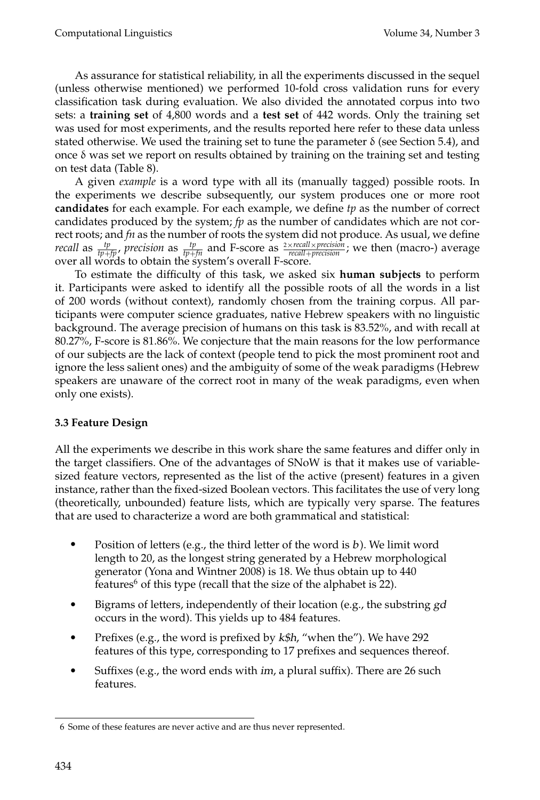As assurance for statistical reliability, in all the experiments discussed in the sequel (unless otherwise mentioned) we performed 10-fold cross validation runs for every classification task during evaluation. We also divided the annotated corpus into two sets: a **training set** of 4,800 words and a **test set** of 442 words. Only the training set was used for most experiments, and the results reported here refer to these data unless stated otherwise. We used the training set to tune the parameter  $\delta$  (see Section 5.4), and once  $\delta$  was set we report on results obtained by training on the training set and testing on test data (Table 8).

A given *example* is a word type with all its (manually tagged) possible roots. In the experiments we describe subsequently, our system produces one or more root **candidates** for each example. For each example, we define *tp* as the number of correct candidates produced by the system; *fp* as the number of candidates which are not correct roots; and *fn* as the number of roots the system did not produce. As usual, we define *recall* as  $\frac{tp}{tp+fp}$ , *precision* as  $\frac{tp}{tp+fn}$  and F-score as  $\frac{2 \times recall \times precision}{recall + precision}$ ; we then (macro-) average over all words to obtain the system's overall F-score.

To estimate the difficulty of this task, we asked six **human subjects** to perform it. Participants were asked to identify all the possible roots of all the words in a list of 200 words (without context), randomly chosen from the training corpus. All participants were computer science graduates, native Hebrew speakers with no linguistic background. The average precision of humans on this task is 83.52%, and with recall at 80.27%, F-score is 81.86%. We conjecture that the main reasons for the low performance of our subjects are the lack of context (people tend to pick the most prominent root and ignore the less salient ones) and the ambiguity of some of the weak paradigms (Hebrew speakers are unaware of the correct root in many of the weak paradigms, even when only one exists).

## **3.3 Feature Design**

All the experiments we describe in this work share the same features and differ only in the target classifiers. One of the advantages of SNoW is that it makes use of variablesized feature vectors, represented as the list of the active (present) features in a given instance, rather than the fixed-sized Boolean vectors. This facilitates the use of very long (theoretically, unbounded) feature lists, which are typically very sparse. The features that are used to characterize a word are both grammatical and statistical:

- Position of letters (e.g., the third letter of the word is <sup>b</sup>). We limit word length to 20, as the longest string generated by a Hebrew morphological generator (Yona and Wintner 2008) is 18. We thus obtain up to 440 features<sup>6</sup> of this type (recall that the size of the alphabet is 22).
- Bigrams of letters, independently of their location (e.g., the substring gd occurs in the word). This yields up to 484 features.
- Prefixes (e.g., the word is prefixed by  $k$h$ , "when the"). We have 292 features of this type, corresponding to 17 prefixes and sequences thereof.
- Suffixes (e.g., the word ends with im, a plural suffix). There are 26 such features.

<sup>6</sup> Some of these features are never active and are thus never represented.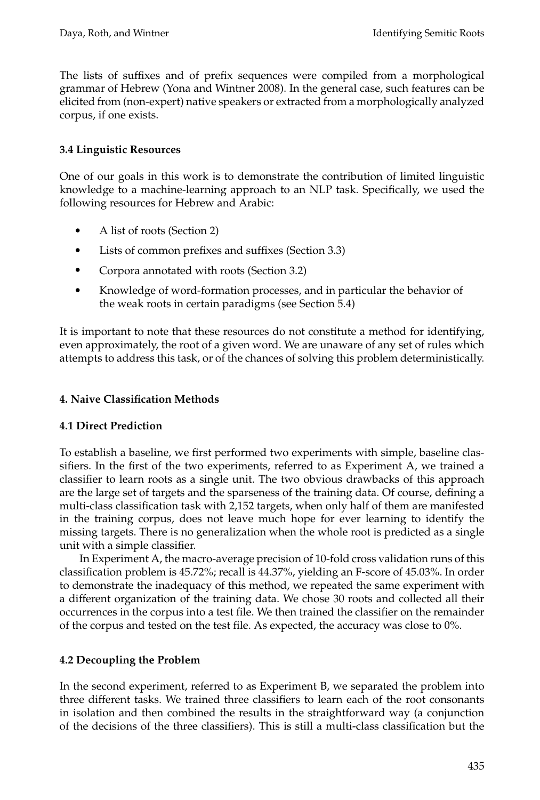The lists of suffixes and of prefix sequences were compiled from a morphological grammar of Hebrew (Yona and Wintner 2008). In the general case, such features can be elicited from (non-expert) native speakers or extracted from a morphologically analyzed corpus, if one exists.

## **3.4 Linguistic Resources**

One of our goals in this work is to demonstrate the contribution of limited linguistic knowledge to a machine-learning approach to an NLP task. Specifically, we used the following resources for Hebrew and Arabic:

- A list of roots (Section 2)
- Lists of common prefixes and suffixes (Section 3.3)
- Corpora annotated with roots (Section 3.2)
- Knowledge of word-formation processes, and in particular the behavior of the weak roots in certain paradigms (see Section 5.4)

It is important to note that these resources do not constitute a method for identifying, even approximately, the root of a given word. We are unaware of any set of rules which attempts to address this task, or of the chances of solving this problem deterministically.

## **4. Naive Classification Methods**

## **4.1 Direct Prediction**

To establish a baseline, we first performed two experiments with simple, baseline classifiers. In the first of the two experiments, referred to as Experiment A, we trained a classifier to learn roots as a single unit. The two obvious drawbacks of this approach are the large set of targets and the sparseness of the training data. Of course, defining a multi-class classification task with 2,152 targets, when only half of them are manifested in the training corpus, does not leave much hope for ever learning to identify the missing targets. There is no generalization when the whole root is predicted as a single unit with a simple classifier.

In Experiment A, the macro-average precision of 10-fold cross validation runs of this classification problem is 45.72%; recall is 44.37%, yielding an F-score of 45.03%. In order to demonstrate the inadequacy of this method, we repeated the same experiment with a different organization of the training data. We chose 30 roots and collected all their occurrences in the corpus into a test file. We then trained the classifier on the remainder of the corpus and tested on the test file. As expected, the accuracy was close to 0%.

## **4.2 Decoupling the Problem**

In the second experiment, referred to as Experiment B, we separated the problem into three different tasks. We trained three classifiers to learn each of the root consonants in isolation and then combined the results in the straightforward way (a conjunction of the decisions of the three classifiers). This is still a multi-class classification but the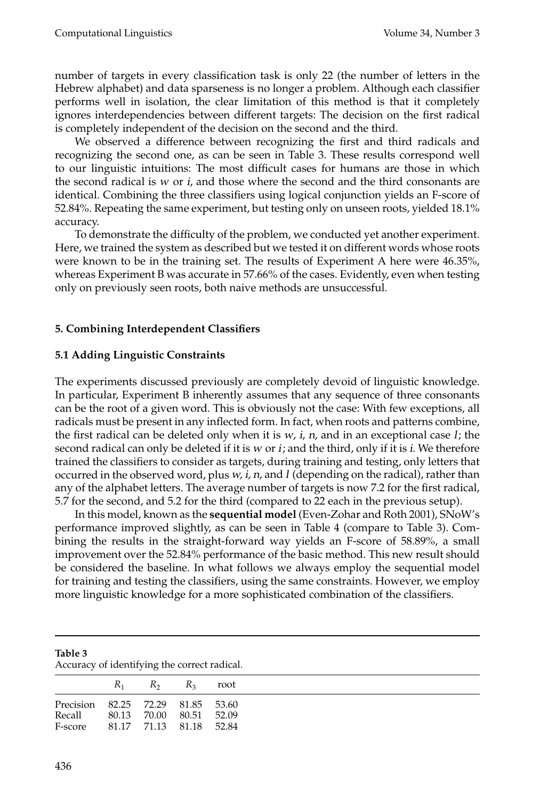number of targets in every classification task is only 22 (the number of letters in the Hebrew alphabet) and data sparseness is no longer a problem. Although each classifier performs well in isolation, the clear limitation of this method is that it completely ignores interdependencies between different targets: The decision on the first radical is completely independent of the decision on the second and the third.

We observed a difference between recognizing the first and third radicals and recognizing the second one, as can be seen in Table 3. These results correspond well to our linguistic intuitions: The most difficult cases for humans are those in which the second radical is <sup>w</sup> or <sup>i</sup>, and those where the second and the third consonants are identical. Combining the three classifiers using logical conjunction yields an F-score of 52.84%. Repeating the same experiment, but testing only on unseen roots, yielded 18.1% accuracy.

To demonstrate the difficulty of the problem, we conducted yet another experiment. Here, we trained the system as described but we tested it on different words whose roots were known to be in the training set. The results of Experiment A here were 46.35%, whereas Experiment B was accurate in 57.66% of the cases. Evidently, even when testing only on previously seen roots, both naive methods are unsuccessful.

## **5. Combining Interdependent Classifiers**

## **5.1 Adding Linguistic Constraints**

The experiments discussed previously are completely devoid of linguistic knowledge. In particular, Experiment B inherently assumes that any sequence of three consonants can be the root of a given word. This is obviously not the case: With few exceptions, all radicals must be present in any inflected form. In fact, when roots and patterns combine, the first radical can be deleted only when it is  $w$ , *i*, *n*, and in an exceptional case *l*; the second radical can only be deleted if it is  $w$  or  $i$ ; and the third, only if it is  $i$ . We therefore trained the classifiers to consider as targets, during training and testing, only letters that occurred in the observed word, plus  $w$ ,  $i$ ,  $n$ , and  $l$  (depending on the radical), rather than any of the alphabet letters. The average number of targets is now 7.2 for the first radical, 5.7 for the second, and 5.2 for the third (compared to 22 each in the previous setup).

In this model, known as the **sequential model** (Even-Zohar and Roth 2001), SNoW's performance improved slightly, as can be seen in Table 4 (compare to Table 3). Combining the results in the straight-forward way yields an F-score of 58.89%, a small improvement over the 52.84% performance of the basic method. This new result should be considered the baseline. In what follows we always employ the sequential model for training and testing the classifiers, using the same constraints. However, we employ more linguistic knowledge for a more sophisticated combination of the classifiers.

**Table 3** Accuracy of identifying the correct radical.

|                                   |  | $R_1$ $R_2$ $R_3$ |  | root |  |
|-----------------------------------|--|-------------------|--|------|--|
| Precision 82.25 72.29 81.85 53.60 |  |                   |  |      |  |
| Recall 80.13 70.00 80.51 52.09    |  |                   |  |      |  |
| F-score 81.17 71.13 81.18 52.84   |  |                   |  |      |  |
|                                   |  |                   |  |      |  |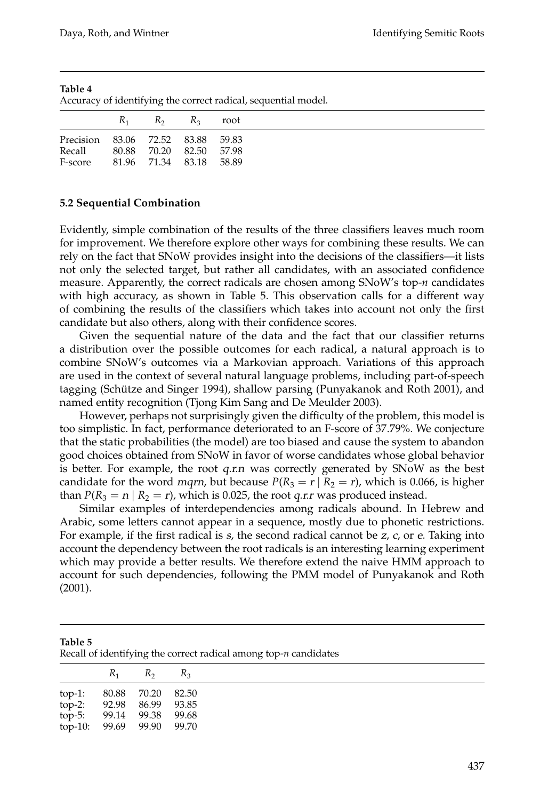|                                   | $R_{1}$ | $R_2$ $R_3$             | root |
|-----------------------------------|---------|-------------------------|------|
| Precision 83.06 72.52 83.88 59.83 |         |                         |      |
| Recall                            |         | 80.88 70.20 82.50 57.98 |      |
| F-score                           |         | 81.96 71.34 83.18 58.89 |      |

Accuracy of identifying the correct radical, sequential model.

## **5.2 Sequential Combination**

Evidently, simple combination of the results of the three classifiers leaves much room for improvement. We therefore explore other ways for combining these results. We can rely on the fact that SNoW provides insight into the decisions of the classifiers—it lists not only the selected target, but rather all candidates, with an associated confidence measure. Apparently, the correct radicals are chosen among SNoW's top-*n* candidates with high accuracy, as shown in Table 5. This observation calls for a different way of combining the results of the classifiers which takes into account not only the first candidate but also others, along with their confidence scores.

Given the sequential nature of the data and the fact that our classifier returns a distribution over the possible outcomes for each radical, a natural approach is to combine SNoW's outcomes via a Markovian approach. Variations of this approach are used in the context of several natural language problems, including part-of-speech tagging (Schutze and Singer 1994), shallow parsing (Punyakanok and Roth 2001), and ¨ named entity recognition (Tjong Kim Sang and De Meulder 2003).

However, perhaps not surprisingly given the difficulty of the problem, this model is too simplistic. In fact, performance deteriorated to an F-score of 37.79%. We conjecture that the static probabilities (the model) are too biased and cause the system to abandon good choices obtained from SNoW in favor of worse candidates whose global behavior is better. For example, the root q.r.n was correctly generated by SNoW as the best candidate for the word *mqrn*, but because  $P(R_3 = r | R_2 = r)$ , which is 0.066, is higher than  $P(R_3 = n | R_2 = r)$ , which is 0.025, the root *q.r.r* was produced instead.

Similar examples of interdependencies among radicals abound. In Hebrew and Arabic, some letters cannot appear in a sequence, mostly due to phonetic restrictions. For example, if the first radical is s, the second radical cannot be z, c, or e. Taking into account the dependency between the root radicals is an interesting learning experiment which may provide a better results. We therefore extend the naive HMM approach to account for such dependencies, following the PMM model of Punyakanok and Roth (2001).

| Table 5<br>Recall of identifying the correct radical among top- <i>n</i> candidates |       |       |       |  |  |  |  |
|-------------------------------------------------------------------------------------|-------|-------|-------|--|--|--|--|
|                                                                                     | $R_1$ | $R_2$ | $R_3$ |  |  |  |  |
| top-1: 80.88 70.20 82.50                                                            |       |       |       |  |  |  |  |
| top-2: 92.98 86.99 93.85                                                            |       |       |       |  |  |  |  |
| top-5: 99.14 99.38 99.68                                                            |       |       |       |  |  |  |  |
| top-10: 99.69 99.90 99.70                                                           |       |       |       |  |  |  |  |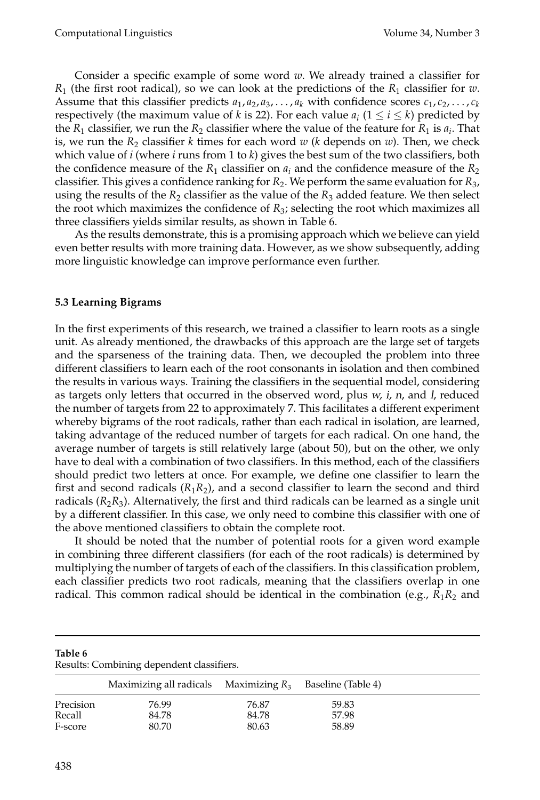Consider a specific example of some word *w*. We already trained a classifier for *R*<sup>1</sup> (the first root radical), so we can look at the predictions of the *R*<sup>1</sup> classifier for *w*. Assume that this classifier predicts  $a_1, a_2, a_3, \ldots, a_k$  with confidence scores  $c_1, c_2, \ldots, c_k$ respectively (the maximum value of *k* is 22). For each value  $a_i$  ( $1 \le i \le k$ ) predicted by the  $R_1$  classifier, we run the  $R_2$  classifier where the value of the feature for  $R_1$  is  $a_i$ . That is, we run the  $R_2$  classifier *k* times for each word *w* (*k* depends on *w*). Then, we check which value of *i* (where *i* runs from 1 to *k*) gives the best sum of the two classifiers, both the confidence measure of the  $R_1$  classifier on  $a_i$  and the confidence measure of the  $R_2$ classifier. This gives a confidence ranking for *R*2. We perform the same evaluation for *R*3, using the results of the  $R_2$  classifier as the value of the  $R_3$  added feature. We then select the root which maximizes the confidence of *R*3; selecting the root which maximizes all three classifiers yields similar results, as shown in Table 6.

As the results demonstrate, this is a promising approach which we believe can yield even better results with more training data. However, as we show subsequently, adding more linguistic knowledge can improve performance even further.

## **5.3 Learning Bigrams**

In the first experiments of this research, we trained a classifier to learn roots as a single unit. As already mentioned, the drawbacks of this approach are the large set of targets and the sparseness of the training data. Then, we decoupled the problem into three different classifiers to learn each of the root consonants in isolation and then combined the results in various ways. Training the classifiers in the sequential model, considering as targets only letters that occurred in the observed word, plus  $w$ ,  $i$ ,  $n$ , and  $l$ , reduced the number of targets from 22 to approximately 7. This facilitates a different experiment whereby bigrams of the root radicals, rather than each radical in isolation, are learned, taking advantage of the reduced number of targets for each radical. On one hand, the average number of targets is still relatively large (about 50), but on the other, we only have to deal with a combination of two classifiers. In this method, each of the classifiers should predict two letters at once. For example, we define one classifier to learn the first and second radicals  $(R_1R_2)$ , and a second classifier to learn the second and third radicals  $(R_2R_3)$ . Alternatively, the first and third radicals can be learned as a single unit by a different classifier. In this case, we only need to combine this classifier with one of the above mentioned classifiers to obtain the complete root.

It should be noted that the number of potential roots for a given word example in combining three different classifiers (for each of the root radicals) is determined by multiplying the number of targets of each of the classifiers. In this classification problem, each classifier predicts two root radicals, meaning that the classifiers overlap in one radical. This common radical should be identical in the combination (e.g.,  $R_1R_2$  and

| Table 6<br>Results: Combining dependent classifiers. |                                                             |       |       |  |  |  |  |
|------------------------------------------------------|-------------------------------------------------------------|-------|-------|--|--|--|--|
|                                                      | Maximizing all radicals Maximizing $R_3$ Baseline (Table 4) |       |       |  |  |  |  |
| Precision                                            | 76.99                                                       | 76.87 | 59.83 |  |  |  |  |
| Recall                                               | 84.78                                                       | 84.78 | 57.98 |  |  |  |  |
| F-score                                              | 80.70                                                       | 80.63 | 58.89 |  |  |  |  |

**Table 6**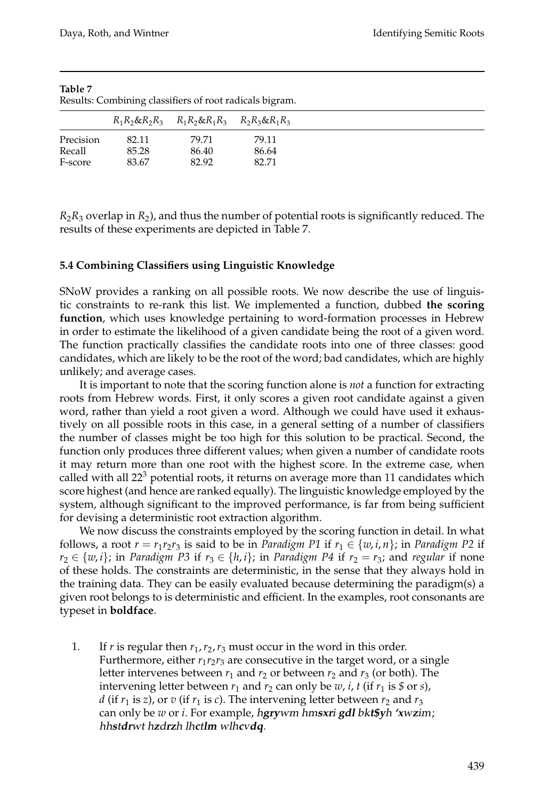Results: Combining classifiers of root radicals bigram.

*R*2*R*<sup>3</sup> overlap in *R*2), and thus the number of potential roots is significantly reduced. The results of these experiments are depicted in Table 7.

## **5.4 Combining Classifiers using Linguistic Knowledge**

SNoW provides a ranking on all possible roots. We now describe the use of linguistic constraints to re-rank this list. We implemented a function, dubbed **the scoring function**, which uses knowledge pertaining to word-formation processes in Hebrew in order to estimate the likelihood of a given candidate being the root of a given word. The function practically classifies the candidate roots into one of three classes: good candidates, which are likely to be the root of the word; bad candidates, which are highly unlikely; and average cases.

It is important to note that the scoring function alone is *not* a function for extracting roots from Hebrew words. First, it only scores a given root candidate against a given word, rather than yield a root given a word. Although we could have used it exhaustively on all possible roots in this case, in a general setting of a number of classifiers the number of classes might be too high for this solution to be practical. Second, the function only produces three different values; when given a number of candidate roots it may return more than one root with the highest score. In the extreme case, when called with all  $22<sup>3</sup>$  potential roots, it returns on average more than 11 candidates which score highest (and hence are ranked equally). The linguistic knowledge employed by the system, although significant to the improved performance, is far from being sufficient for devising a deterministic root extraction algorithm.

We now discuss the constraints employed by the scoring function in detail. In what follows, a root  $r = r_1r_2r_3$  is said to be in *Paradigm P1* if  $r_1 \in \{w, i, n\}$ ; in *Paradigm P2* if  $r_2 \in \{w, i\}$ ; in *Paradigm P3* if  $r_3 \in \{h, i\}$ ; in *Paradigm P4* if  $r_2 = r_3$ ; and *regular* if none of these holds. The constraints are deterministic, in the sense that they always hold in the training data. They can be easily evaluated because determining the paradigm(s) a given root belongs to is deterministic and efficient. In the examples, root consonants are typeset in **boldface**.

1. If *r* is regular then  $r_1, r_2, r_3$  must occur in the word in this order. Furthermore, either  $r_1r_2r_3$  are consecutive in the target word, or a single letter intervenes between  $r_1$  and  $r_2$  or between  $r_2$  and  $r_3$  (or both). The intervening letter between  $r_1$  and  $r_2$  can only be *w*, *i*, *t* (if  $r_1$  is  $\oint$  or *s*), *d* (if  $r_1$  is *z*), or *v* (if  $r_1$  is *c*). The intervening letter between  $r_2$  and  $r_3$ can only be *w* or *i*. For example, h**gry**wm hm**sxr**<sup>i</sup> **gdl** bk**t\$y**h **'x**<sup>w</sup>**z**im; hh**s**t**dr**wt h**z**d**rz**h lh**c**t**lm** wlh**<sup>c</sup>**v**dq**.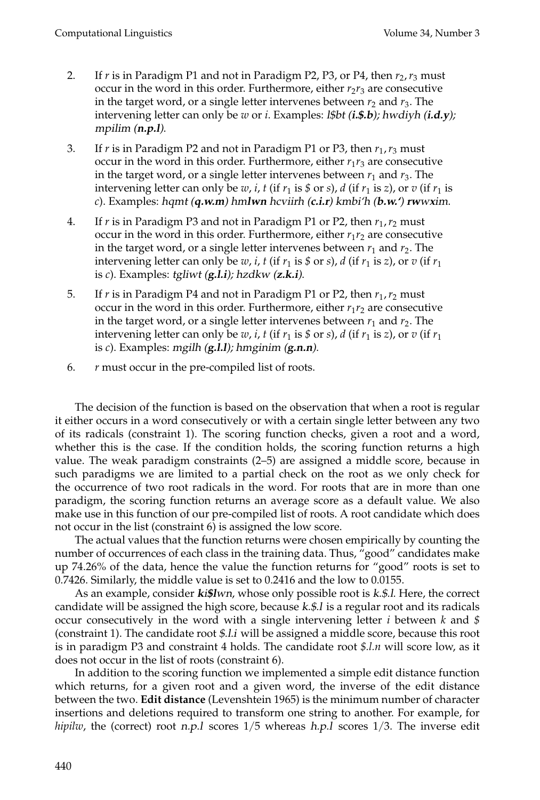- 2. If *r* is in Paradigm P1 and not in Paradigm P2, P3, or P4, then  $r_2$ ,  $r_3$  must occur in the word in this order. Furthermore, either  $r_2r_3$  are consecutive in the target word, or a single letter intervenes between  $r_2$  and  $r_3$ . The intervening letter can only be *w* or *i*. Examples: l\$bt (**i.\$.b**); hwdiyh (**i.d.y**); mpilim (**n.p.l**).
- 3. If *r* is in Paradigm P2 and not in Paradigm P1 or P3, then  $r_1$ ,  $r_3$  must occur in the word in this order. Furthermore, either  $r_1r_3$  are consecutive in the target word, or a single letter intervenes between  $r_1$  and  $r_3$ . The intervening letter can only be *w*, *i*, *t* (if  $r_1$  is  $\frac{1}{2}$  or *s*), *d* (if  $r_1$  is *z*), or *v* (if  $r_1$  is *c*). Examples: hqmt (**q.w.m**) hm**lwn** hcviirh (**c.i.r**) kmb i'h (**b.w.'**) **rw**w**<sup>x</sup>**im.
- 4. If  $r$  is in Paradigm P3 and not in Paradigm P1 or P2, then  $r_1$ ,  $r_2$  must occur in the word in this order. Furthermore, either  $r_1r_2$  are consecutive in the target word, or a single letter intervenes between  $r_1$  and  $r_2$ . The intervening letter can only be *w*, *i*, *t* (if  $r_1$  is  $\oint$  or *s*), *d* (if  $r_1$  is *z*), or *v* (if  $r_1$ is *c*). Examples: tgliwt (**g.l.i**); hzdkw (**z.k.i**).
- 5. If  $r$  is in Paradigm P4 and not in Paradigm P1 or P2, then  $r_1, r_2$  must occur in the word in this order. Furthermore, either  $r_1r_2$  are consecutive in the target word, or a single letter intervenes between  $r_1$  and  $r_2$ . The intervening letter can only be *w*, *i*, *t* (if  $r_1$  is  $\$$  or *s*), *d* (if  $r_1$  is *z*), or *v* (if  $r_1$ is *c*). Examples: mgilh (**g.l.l**); hmginim (**g.n.n**).
- 6. *r* must occur in the pre-compiled list of roots.

The decision of the function is based on the observation that when a root is regular it either occurs in a word consecutively or with a certain single letter between any two of its radicals (constraint 1). The scoring function checks, given a root and a word, whether this is the case. If the condition holds, the scoring function returns a high value. The weak paradigm constraints (2–5) are assigned a middle score, because in such paradigms we are limited to a partial check on the root as we only check for the occurrence of two root radicals in the word. For roots that are in more than one paradigm, the scoring function returns an average score as a default value. We also make use in this function of our pre-compiled list of roots. A root candidate which does not occur in the list (constraint 6) is assigned the low score.

The actual values that the function returns were chosen empirically by counting the number of occurrences of each class in the training data. Thus, "good" candidates make up 74.26% of the data, hence the value the function returns for "good" roots is set to 0.7426. Similarly, the middle value is set to 0.2416 and the low to 0.0155.

As an example, consider **k**i**\$l**wn, whose only possible root is k.\$.l. Here, the correct candidate will be assigned the high score, because  $k.\$.1$  is a regular root and its radicals occur consecutively in the word with a single intervening letter *i* between *k* and *\$* (constraint 1). The candidate root \$.l.i will be assigned a middle score, because this root is in paradigm P3 and constraint 4 holds. The candidate root *\$.l.n* will score low, as it does not occur in the list of roots (constraint 6).

In addition to the scoring function we implemented a simple edit distance function which returns, for a given root and a given word, the inverse of the edit distance between the two. **Edit distance** (Levenshtein 1965) is the minimum number of character insertions and deletions required to transform one string to another. For example, for *hipilw*, the (correct) root n.p.l scores  $1/5$  whereas h.p.l scores  $1/3$ . The inverse edit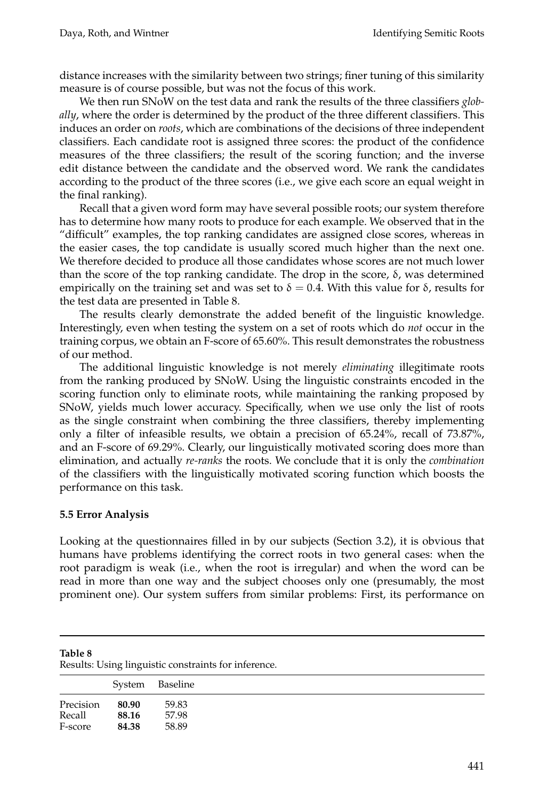distance increases with the similarity between two strings; finer tuning of this similarity measure is of course possible, but was not the focus of this work.

We then run SNoW on the test data and rank the results of the three classifiers *globally*, where the order is determined by the product of the three different classifiers. This induces an order on *roots*, which are combinations of the decisions of three independent classifiers. Each candidate root is assigned three scores: the product of the confidence measures of the three classifiers; the result of the scoring function; and the inverse edit distance between the candidate and the observed word. We rank the candidates according to the product of the three scores (i.e., we give each score an equal weight in the final ranking).

Recall that a given word form may have several possible roots; our system therefore has to determine how many roots to produce for each example. We observed that in the "difficult" examples, the top ranking candidates are assigned close scores, whereas in the easier cases, the top candidate is usually scored much higher than the next one. We therefore decided to produce all those candidates whose scores are not much lower than the score of the top ranking candidate. The drop in the score,  $\delta$ , was determined empirically on the training set and was set to  $\delta = 0.4$ . With this value for  $\delta$ , results for the test data are presented in Table 8.

The results clearly demonstrate the added benefit of the linguistic knowledge. Interestingly, even when testing the system on a set of roots which do *not* occur in the training corpus, we obtain an F-score of 65.60%. This result demonstrates the robustness of our method.

The additional linguistic knowledge is not merely *eliminating* illegitimate roots from the ranking produced by SNoW. Using the linguistic constraints encoded in the scoring function only to eliminate roots, while maintaining the ranking proposed by SNoW, yields much lower accuracy. Specifically, when we use only the list of roots as the single constraint when combining the three classifiers, thereby implementing only a filter of infeasible results, we obtain a precision of 65.24%, recall of 73.87%, and an F-score of 69.29%. Clearly, our linguistically motivated scoring does more than elimination, and actually *re-ranks* the roots. We conclude that it is only the *combination* of the classifiers with the linguistically motivated scoring function which boosts the performance on this task.

## **5.5 Error Analysis**

Looking at the questionnaires filled in by our subjects (Section 3.2), it is obvious that humans have problems identifying the correct roots in two general cases: when the root paradigm is weak (i.e., when the root is irregular) and when the word can be read in more than one way and the subject chooses only one (presumably, the most prominent one). Our system suffers from similar problems: First, its performance on

| Results: Using linguistic constraints for inference. |                         |                         |  |  |  |
|------------------------------------------------------|-------------------------|-------------------------|--|--|--|
|                                                      |                         | System Baseline         |  |  |  |
| Precision<br>Recall<br>F-score                       | 80.90<br>88.16<br>84.38 | 59.83<br>57.98<br>58.89 |  |  |  |

**Table 8**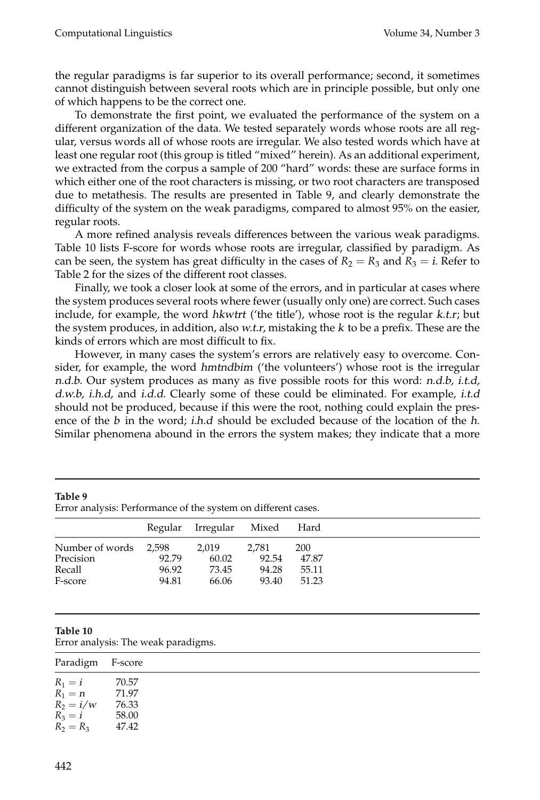the regular paradigms is far superior to its overall performance; second, it sometimes cannot distinguish between several roots which are in principle possible, but only one of which happens to be the correct one.

To demonstrate the first point, we evaluated the performance of the system on a different organization of the data. We tested separately words whose roots are all regular, versus words all of whose roots are irregular. We also tested words which have at least one regular root (this group is titled "mixed" herein). As an additional experiment, we extracted from the corpus a sample of 200 "hard" words: these are surface forms in which either one of the root characters is missing, or two root characters are transposed due to metathesis. The results are presented in Table 9, and clearly demonstrate the difficulty of the system on the weak paradigms, compared to almost 95% on the easier, regular roots.

A more refined analysis reveals differences between the various weak paradigms. Table 10 lists F-score for words whose roots are irregular, classified by paradigm. As can be seen, the system has great difficulty in the cases of  $R_2 = R_3$  and  $R_3 = i$ . Refer to Table 2 for the sizes of the different root classes.

Finally, we took a closer look at some of the errors, and in particular at cases where the system produces several roots where fewer (usually only one) are correct. Such cases include, for example, the word hkwtrt ('the title'), whose root is the regular  $k.t.$ r; but the system produces, in addition, also  $w.t.r$ , mistaking the k to be a prefix. These are the kinds of errors which are most difficult to fix.

However, in many cases the system's errors are relatively easy to overcome. Consider, for example, the word hmtndbim ('the volunteers') whose root is the irregular n.d.b. Our system produces as many as five possible roots for this word: n.d.b, i.t.d, d.w.b, i.h.d, and i.d.d. Clearly some of these could be eliminated. For example, i.t.d should not be produced, because if this were the root, nothing could explain the presence of the b in the word; *i.h.d* should be excluded because of the location of the h. Similar phenomena abound in the errors the system makes; they indicate that a more

| г<br>۰,<br>× |  |
|--------------|--|
|--------------|--|

Error analysis: Performance of the system on different cases.

|                 | Regular | Irregular | Mixed | Hard  |
|-----------------|---------|-----------|-------|-------|
| Number of words | 2.598   | 2.019     | 2.781 | 200   |
| Precision       | 92.79   | 60.02     | 92.54 | 47.87 |
| Recall          | 96.92   | 73.45     | 94.28 | 55.11 |
| F-score         | 94.81   | 66.06     | 93.40 | 51.23 |
|                 |         |           |       |       |

| Table |  |
|-------|--|
|-------|--|

Error analysis: The weak paradigms.

| Paradigm F-score  |                    |  |  |  |
|-------------------|--------------------|--|--|--|
| 70.57             |                    |  |  |  |
| 71.97             |                    |  |  |  |
|                   |                    |  |  |  |
| 58.00             |                    |  |  |  |
| $R_2 = R_3$ 47.42 |                    |  |  |  |
|                   | 76.33<br>$R_3 = i$ |  |  |  |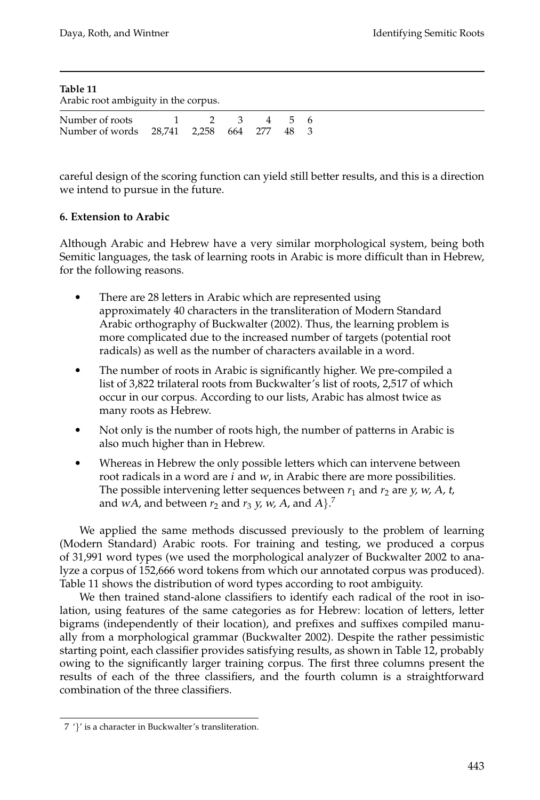| Table 11                             |
|--------------------------------------|
| Arabic root ambiguity in the corpus. |

| Number of roots                           | 2 3 4 5 6 |  |  |
|-------------------------------------------|-----------|--|--|
| Number of words 28,741 2,258 664 277 48 3 |           |  |  |

careful design of the scoring function can yield still better results, and this is a direction we intend to pursue in the future.

## **6. Extension to Arabic**

Although Arabic and Hebrew have a very similar morphological system, being both Semitic languages, the task of learning roots in Arabic is more difficult than in Hebrew, for the following reasons.

- There are 28 letters in Arabic which are represented using approximately 40 characters in the transliteration of Modern Standard Arabic orthography of Buckwalter (2002). Thus, the learning problem is more complicated due to the increased number of targets (potential root radicals) as well as the number of characters available in a word.
- The number of roots in Arabic is significantly higher. We pre-compiled a list of 3,822 trilateral roots from Buckwalter's list of roots, 2,517 of which occur in our corpus. According to our lists, Arabic has almost twice as many roots as Hebrew.
- Not only is the number of roots high, the number of patterns in Arabic is also much higher than in Hebrew.
- Whereas in Hebrew the only possible letters which can intervene between root radicals in a word are <sup>i</sup> and <sup>w</sup>, in Arabic there are more possibilities. The possible intervening letter sequences between  $r_1$  and  $r_2$  are  $y$ ,  $w$ ,  $A$ ,  $t$ , and  $wA$ , and between  $r_2$  and  $r_3$  y, w, A, and A}.<sup>7</sup>

We applied the same methods discussed previously to the problem of learning (Modern Standard) Arabic roots. For training and testing, we produced a corpus of 31,991 word types (we used the morphological analyzer of Buckwalter 2002 to analyze a corpus of 152,666 word tokens from which our annotated corpus was produced). Table 11 shows the distribution of word types according to root ambiguity.

We then trained stand-alone classifiers to identify each radical of the root in isolation, using features of the same categories as for Hebrew: location of letters, letter bigrams (independently of their location), and prefixes and suffixes compiled manually from a morphological grammar (Buckwalter 2002). Despite the rather pessimistic starting point, each classifier provides satisfying results, as shown in Table 12, probably owing to the significantly larger training corpus. The first three columns present the results of each of the three classifiers, and the fourth column is a straightforward combination of the three classifiers.

<sup>7 &#</sup>x27;}' is a character in Buckwalter's transliteration.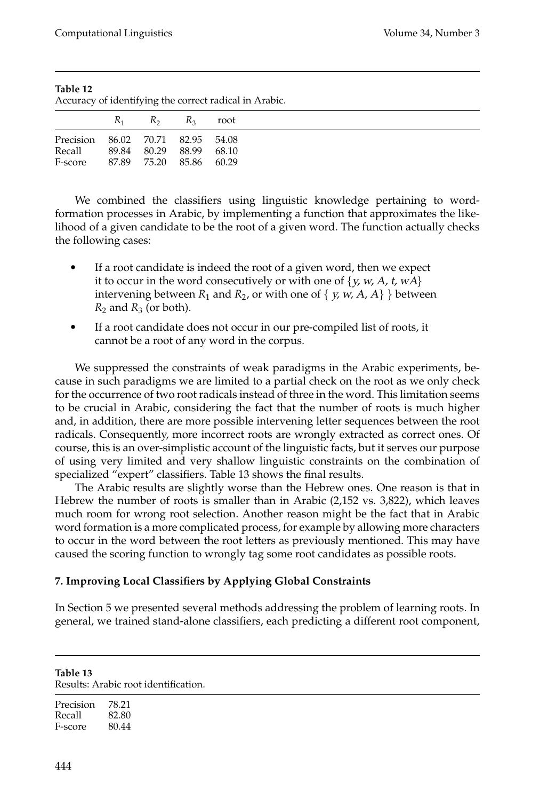| Accuracy of identifying the correct radical in Arabic. |       |       |                         |       |  |
|--------------------------------------------------------|-------|-------|-------------------------|-------|--|
|                                                        |       |       | $R_1$ $R_2$ $R_3$ root  |       |  |
| Precision 86.02 70.71 82.95 54.08                      |       |       |                         |       |  |
| Recall                                                 |       |       | 89.84 80.29 88.99 68.10 |       |  |
| F-score                                                | 87.89 | 75.20 | 85.86                   | 60.29 |  |

 $\alpha$  of identifying the correct radical in Arabic.

We combined the classifiers using linguistic knowledge pertaining to wordformation processes in Arabic, by implementing a function that approximates the likelihood of a given candidate to be the root of a given word. The function actually checks the following cases:

- If a root candidate is indeed the root of a given word, then we expect it to occur in the word consecutively or with one of  $\{y, w, A, t, wA\}$ intervening between  $R_1$  and  $R_2$ , or with one of  $\{y, w, A, A\}$  between  $R_2$  and  $R_3$  (or both).
- If a root candidate does not occur in our pre-compiled list of roots, it cannot be a root of any word in the corpus.

We suppressed the constraints of weak paradigms in the Arabic experiments, because in such paradigms we are limited to a partial check on the root as we only check for the occurrence of two root radicals instead of three in the word. This limitation seems to be crucial in Arabic, considering the fact that the number of roots is much higher and, in addition, there are more possible intervening letter sequences between the root radicals. Consequently, more incorrect roots are wrongly extracted as correct ones. Of course, this is an over-simplistic account of the linguistic facts, but it serves our purpose of using very limited and very shallow linguistic constraints on the combination of specialized "expert" classifiers. Table 13 shows the final results.

The Arabic results are slightly worse than the Hebrew ones. One reason is that in Hebrew the number of roots is smaller than in Arabic (2,152 vs. 3,822), which leaves much room for wrong root selection. Another reason might be the fact that in Arabic word formation is a more complicated process, for example by allowing more characters to occur in the word between the root letters as previously mentioned. This may have caused the scoring function to wrongly tag some root candidates as possible roots.

## **7. Improving Local Classifiers by Applying Global Constraints**

In Section 5 we presented several methods addressing the problem of learning roots. In general, we trained stand-alone classifiers, each predicting a different root component,

| Table 13        | Results: Arabic root identification. |  |  |
|-----------------|--------------------------------------|--|--|
| Precision 78.21 |                                      |  |  |
| Recall          | 82.80                                |  |  |
| F-score         | 80.44                                |  |  |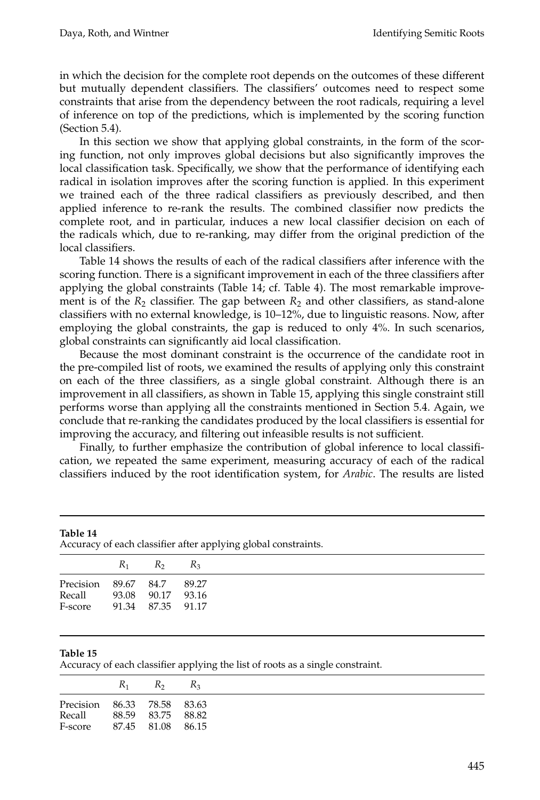in which the decision for the complete root depends on the outcomes of these different but mutually dependent classifiers. The classifiers' outcomes need to respect some constraints that arise from the dependency between the root radicals, requiring a level of inference on top of the predictions, which is implemented by the scoring function (Section 5.4).

In this section we show that applying global constraints, in the form of the scoring function, not only improves global decisions but also significantly improves the local classification task. Specifically, we show that the performance of identifying each radical in isolation improves after the scoring function is applied. In this experiment we trained each of the three radical classifiers as previously described, and then applied inference to re-rank the results. The combined classifier now predicts the complete root, and in particular, induces a new local classifier decision on each of the radicals which, due to re-ranking, may differ from the original prediction of the local classifiers.

Table 14 shows the results of each of the radical classifiers after inference with the scoring function. There is a significant improvement in each of the three classifiers after applying the global constraints (Table 14; cf. Table 4). The most remarkable improvement is of the  $R_2$  classifier. The gap between  $R_2$  and other classifiers, as stand-alone classifiers with no external knowledge, is 10–12%, due to linguistic reasons. Now, after employing the global constraints, the gap is reduced to only 4%. In such scenarios, global constraints can significantly aid local classification.

Because the most dominant constraint is the occurrence of the candidate root in the pre-compiled list of roots, we examined the results of applying only this constraint on each of the three classifiers, as a single global constraint. Although there is an improvement in all classifiers, as shown in Table 15, applying this single constraint still performs worse than applying all the constraints mentioned in Section 5.4. Again, we conclude that re-ranking the candidates produced by the local classifiers is essential for improving the accuracy, and filtering out infeasible results is not sufficient.

Finally, to further emphasize the contribution of global inference to local classification, we repeated the same experiment, measuring accuracy of each of the radical classifiers induced by the root identification system, for *Arabic*. The results are listed

| Table 14                                  |       |                                        |       | Accuracy of each classifier after applying global constraints. |
|-------------------------------------------|-------|----------------------------------------|-------|----------------------------------------------------------------|
|                                           | $R_1$ | $R_2$                                  | $R_3$ |                                                                |
| Precision 89.67 84.7<br>Recall<br>F-score |       | 93.08 90.17 93.16<br>91.34 87.35 91.17 | 89.27 |                                                                |

#### **Table 15**

Accuracy of each classifier applying the list of roots as a single constraint.

|                                     | R1 | $R_2$             | $R_3$ |
|-------------------------------------|----|-------------------|-------|
| Precision 86.33 78.58 83.63         |    |                   |       |
| Recall 88.59 83.75 88.82<br>F-score |    | 87.45 81.08 86.15 |       |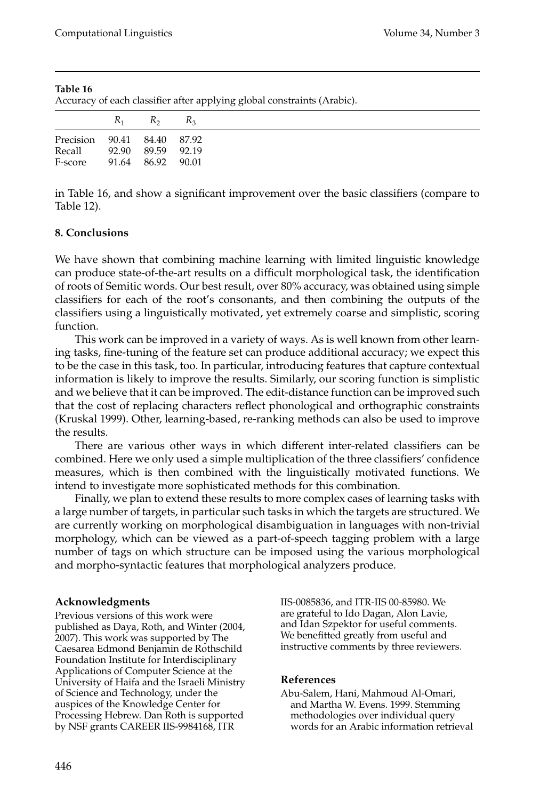|  | Accuracy of each classifier after applying global constraints (Arabic). |  |  |  |  |
|--|-------------------------------------------------------------------------|--|--|--|--|
|--|-------------------------------------------------------------------------|--|--|--|--|

in Table 16, and show a significant improvement over the basic classifiers (compare to Table 12).

## **8. Conclusions**

We have shown that combining machine learning with limited linguistic knowledge can produce state-of-the-art results on a difficult morphological task, the identification of roots of Semitic words. Our best result, over 80% accuracy, was obtained using simple classifiers for each of the root's consonants, and then combining the outputs of the classifiers using a linguistically motivated, yet extremely coarse and simplistic, scoring function.

This work can be improved in a variety of ways. As is well known from other learning tasks, fine-tuning of the feature set can produce additional accuracy; we expect this to be the case in this task, too. In particular, introducing features that capture contextual information is likely to improve the results. Similarly, our scoring function is simplistic and we believe that it can be improved. The edit-distance function can be improved such that the cost of replacing characters reflect phonological and orthographic constraints (Kruskal 1999). Other, learning-based, re-ranking methods can also be used to improve the results.

There are various other ways in which different inter-related classifiers can be combined. Here we only used a simple multiplication of the three classifiers' confidence measures, which is then combined with the linguistically motivated functions. We intend to investigate more sophisticated methods for this combination.

Finally, we plan to extend these results to more complex cases of learning tasks with a large number of targets, in particular such tasks in which the targets are structured. We are currently working on morphological disambiguation in languages with non-trivial morphology, which can be viewed as a part-of-speech tagging problem with a large number of tags on which structure can be imposed using the various morphological and morpho-syntactic features that morphological analyzers produce.

### **Acknowledgments**

Previous versions of this work were published as Daya, Roth, and Winter (2004, 2007). This work was supported by The Caesarea Edmond Benjamin de Rothschild Foundation Institute for Interdisciplinary Applications of Computer Science at the University of Haifa and the Israeli Ministry of Science and Technology, under the auspices of the Knowledge Center for Processing Hebrew. Dan Roth is supported by NSF grants CAREER IIS-9984168, ITR

IIS-0085836, and ITR-IIS 00-85980. We are grateful to Ido Dagan, Alon Lavie, and Idan Szpektor for useful comments. We benefitted greatly from useful and instructive comments by three reviewers.

### **References**

Abu-Salem, Hani, Mahmoud Al-Omari, and Martha W. Evens. 1999. Stemming methodologies over individual query words for an Arabic information retrieval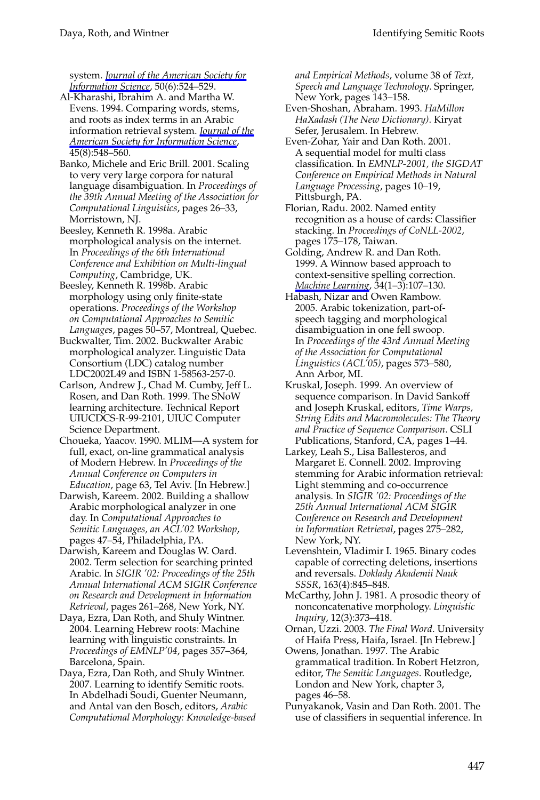#### Daya, Roth, and Wintner Identifying Semitic Roots

system. *Journal of the American Society for Information Science*, 50(6):524–529.

- Al-Kharashi, Ibrahim A. and Martha W. Evens. 1994. Comparing words, stems, and roots as index terms in an Arabic information retrieval system. *Journal of the American Society for Information Science*, 45(8):548–560.
- Banko, Michele and Eric Brill. 2001. Scaling to very very large corpora for natural language disambiguation. In *Proceedings of the 39th Annual Meeting of the Association for Computational Linguistics*, pages 26–33, Morristown, NJ.
- Beesley, Kenneth R. 1998a. Arabic morphological analysis on the internet. In *Proceedings of the 6th International Conference and Exhibition on Multi-lingual Computing*, Cambridge, UK.
- Beesley, Kenneth R. 1998b. Arabic morphology using only finite-state operations. *Proceedings of the Workshop on Computational Approaches to Semitic Languages*, pages 50–57, Montreal, Quebec.
- Buckwalter, Tim. 2002. Buckwalter Arabic morphological analyzer. Linguistic Data Consortium (LDC) catalog number LDC2002L49 and ISBN 1-58563-257-0.
- Carlson, Andrew J., Chad M. Cumby, Jeff L. Rosen, and Dan Roth. 1999. The SNoW learning architecture. Technical Report UIUCDCS-R-99-2101, UIUC Computer Science Department.
- Choueka, Yaacov. 1990. MLIM—A system for full, exact, on-line grammatical analysis of Modern Hebrew. In *Proceedings of the Annual Conference on Computers in Education*, page 63, Tel Aviv. [In Hebrew.]
- Darwish, Kareem. 2002. Building a shallow Arabic morphological analyzer in one day. In *Computational Approaches to Semitic Languages, an ACL'02 Workshop*, pages 47–54, Philadelphia, PA.
- Darwish, Kareem and Douglas W. Oard. 2002. Term selection for searching printed Arabic. In *SIGIR '02: Proceedings of the 25th Annual International ACM SIGIR Conference on Research and Development in Information Retrieval*, pages 261–268, New York, NY.
- Daya, Ezra, Dan Roth, and Shuly Wintner. 2004. Learning Hebrew roots: Machine learning with linguistic constraints. In *Proceedings of EMNLP'04*, pages 357–364, Barcelona, Spain.
- Daya, Ezra, Dan Roth, and Shuly Wintner. 2007. Learning to identify Semitic roots. In Abdelhadi Soudi, Guenter Neumann, and Antal van den Bosch, editors, *Arabic Computational Morphology: Knowledge-based*

- *and Empirical Methods*, volume 38 of *Text, Speech and Language Technology*. Springer, New York, pages 143–158.
- Even-Shoshan, Abraham. 1993. *HaMillon HaXadash (The New Dictionary)*. Kiryat Sefer, Jerusalem. In Hebrew.
- Even-Zohar, Yair and Dan Roth. 2001. A sequential model for multi class classification. In *EMNLP-2001, the SIGDAT Conference on Empirical Methods in Natural Language Processing*, pages 10–19, Pittsburgh, PA.
- Florian, Radu. 2002. Named entity recognition as a house of cards: Classifier stacking. In *Proceedings of CoNLL-2002*, pages 175–178, Taiwan.
- Golding, Andrew R. and Dan Roth. 1999. A Winnow based approach to context-sensitive spelling correction. *Machine Learning*, 34(1–3):107–130.
- Habash, Nizar and Owen Rambow. 2005. Arabic tokenization, part-ofspeech tagging and morphological disambiguation in one fell swoop. In *Proceedings of the 43rd Annual Meeting of the Association for Computational Linguistics (ACL'05)*, pages 573–580, Ann Arbor, MI.
- Kruskal, Joseph. 1999. An overview of sequence comparison. In David Sankoff and Joseph Kruskal, editors, *Time Warps, String Edits and Macromolecules: The Theory and Practice of Sequence Comparison*. CSLI Publications, Stanford, CA, pages 1–44.
- Larkey, Leah S., Lisa Ballesteros, and Margaret E. Connell. 2002. Improving stemming for Arabic information retrieval: Light stemming and co-occurrence analysis. In *SIGIR '02: Proceedings of the 25th Annual International ACM SIGIR Conference on Research and Development in Information Retrieval*, pages 275–282, New York, NY.
- Levenshtein, Vladimir I. 1965. Binary codes capable of correcting deletions, insertions and reversals. *Doklady Akademii Nauk SSSR*, 163(4):845–848.
- McCarthy, John J. 1981. A prosodic theory of nonconcatenative morphology. *Linguistic Inquiry*, 12(3):373–418.
- Ornan, Uzzi. 2003. *The Final Word*. University of Haifa Press, Haifa, Israel. [In Hebrew.]
- Owens, Jonathan. 1997. The Arabic grammatical tradition. In Robert Hetzron, editor, *The Semitic Languages*. Routledge, London and New York, chapter 3, pages 46–58.
- Punyakanok, Vasin and Dan Roth. 2001. The use of classifiers in sequential inference. In